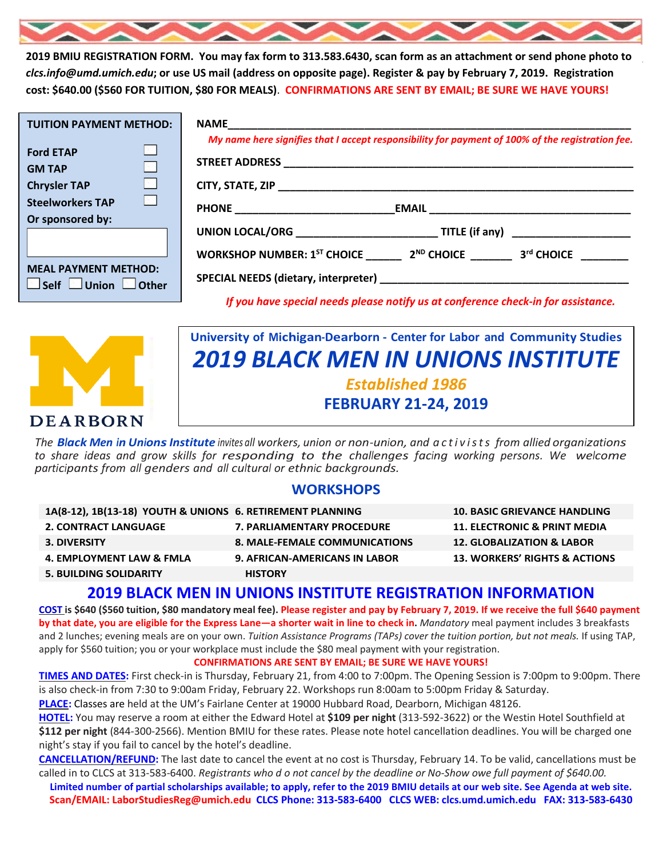

**2019 BMIU REGISTRATION FORM. You may fax form to 313.583.6430, scan form as an attachment or send phone photo to**  *clcs.info@umd.umich.edu***; or use US mail (address on opposite page). Register & pay by February 7, 2019. Registration cost: \$640.00 (\$560 FOR TUITION, \$80 FOR MEALS)**. **CONFIRMATIONS ARE SENT BY EMAIL; BE SURE WE HAVE YOURS!**

| <b>TUITION PAYMENT METHOD:</b>                                       | NAME And the contract of the contract of the contract of the contract of the contract of the contract of the contract of the contract of the contract of the contract of the contract of the contract of the contract of the c |  |
|----------------------------------------------------------------------|--------------------------------------------------------------------------------------------------------------------------------------------------------------------------------------------------------------------------------|--|
| <b>Ford ETAP</b><br>图<br><b>GM TAP</b><br>B I<br><b>Chrysler TAP</b> | My name here signifies that I accept responsibility for payment of 100% of the registration fee.                                                                                                                               |  |
| K.<br><b>Steelworkers TAP</b><br>Or sponsored by:                    |                                                                                                                                                                                                                                |  |
|                                                                      | UNION LOCAL/ORG <b>TITLE</b> (if any)                                                                                                                                                                                          |  |
| <b>MEAL PAYMENT METHOD:</b>                                          | WORKSHOP NUMBER: $1^{ST}$ CHOICE $2^{ND}$ CHOICE $3^{rd}$ CHOICE                                                                                                                                                               |  |
| $\Box$ Self $\Box$ Union $\Box$ Other                                | If you have special needs please notify us at conference check-in for assistance.                                                                                                                                              |  |



## **University of Michigan-Dearborn - Center for Labor and Community Studies** *2019 BLACK MEN IN UNIONS INSTITUTE Established 1986* **FEBRUARY 21-24, 2019**

*The Black Men in UnionsInstitute invites all workers, union or non-union, and activists from allied organizations to share ideas and grow skills for responding to the challenges facing working persons. We welcome participants from all genders and all cultural or ethnic backgrounds.*

#### **WORKSHOPS**

| 1A(8-12), 1B(13-18) YOUTH & UNIONS 6. RETIREMENT PLANNING |                                      | <b>10. BASIC GRIEVANCE HANDLING</b>      |
|-----------------------------------------------------------|--------------------------------------|------------------------------------------|
| <b>2. CONTRACT LANGUAGE</b>                               | <b>7. PARLIAMENTARY PROCEDURE</b>    | <b>11. ELECTRONIC &amp; PRINT MEDIA</b>  |
| <b>3. DIVERSITY</b>                                       | 8. MALE-FEMALE COMMUNICATIONS        | <b>12. GLOBALIZATION &amp; LABOR</b>     |
| 4. EMPLOYMENT LAW & FMLA                                  | <b>9. AFRICAN-AMERICANS IN LABOR</b> | <b>13. WORKERS' RIGHTS &amp; ACTIONS</b> |
| <b>5. BUILDING SOLIDARITY</b>                             | <b>HISTORY</b>                       |                                          |

#### **2019 BLACK MEN IN UNIONS INSTITUTE REGISTRATION INFORMATION**

**COST is \$640 (\$560 tuition, \$80 mandatory meal fee). Please register and pay by February 7, 2019. If we receive the full \$640 payment by that date, you are eligible for the Express Lane—a shorter wait in line to check in.** *Mandatory* meal payment includes 3 breakfasts and 2 lunches; evening meals are on your own. *Tuition Assistance Programs (TAPs) cover the tuition portion, but not meals.* If using TAP, apply for \$560 tuition; you or your workplace must include the \$80 meal payment with your registration.

#### **CONFIRMATIONS ARE SENT BY EMAIL; BE SURE WE HAVE YOURS!**

**TIMES AND DATES:** First check-in is Thursday, February 21, from 4:00 to 7:00pm. The Opening Session is 7:00pm to 9:00pm. There is also check-in from 7:30 to 9:00am Friday, February 22. Workshops run 8:00am to 5:00pm Friday & Saturday.

**PLACE:** Classes are held at the UM's Fairlane Center at 19000 Hubbard Road, Dearborn, Michigan 48126.

**HOTEL:** You may reserve a room at either the Edward Hotel at **\$109 per night** (313-592-3622) or the Westin Hotel Southfield at **\$112 per night** (844-300-2566). Mention BMIU for these rates. Please note hotel cancellation deadlines. You will be charged one night's stay if you fail to cancel by the hotel's deadline.

**CANCELLATION/REFUND:** The last date to cancel the event at no cost is Thursday, February 14. To be valid, cancellations must be called in to CLCS at 313-583-6400. *Registrants who d o not cancel by the deadline or No-Show owe full payment of \$640.00.*

**Limited number of partial scholarships available; to apply, refer to the 2019 BMIU details at our web site. See Agenda at web site. Scan/EMAIL[: LaborStudiesReg@umich.edu](mailto:LaborStudiesReg@umich.edu) CLCS Phone: 313-583-6400 CLCS WEB: clcs.umd.umich.edu FAX: 313-583-6430**